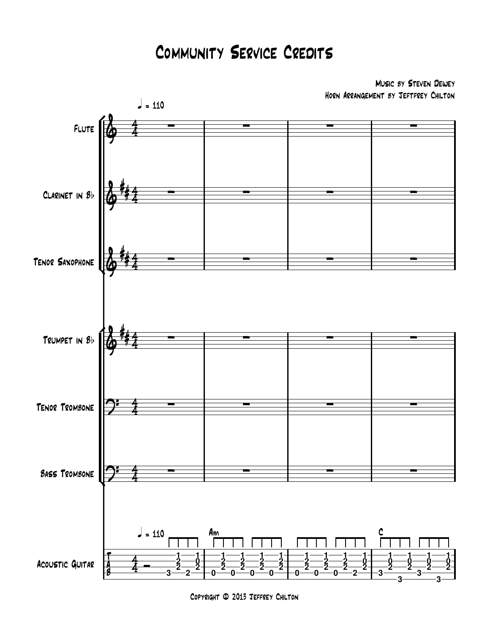## Community Service Credits

Music by Steven Dewey Horn Arrangement by Jeftfrey Chilton



Copyright © 2013 Jeffrey Chilton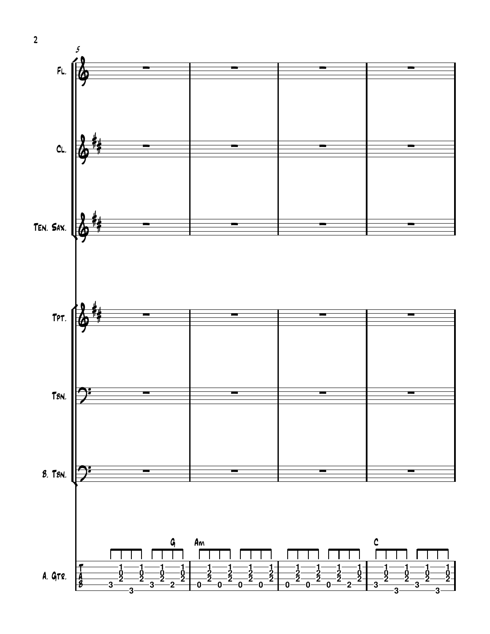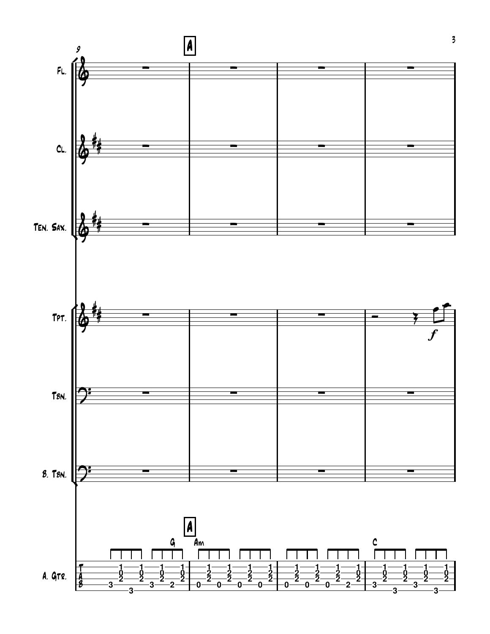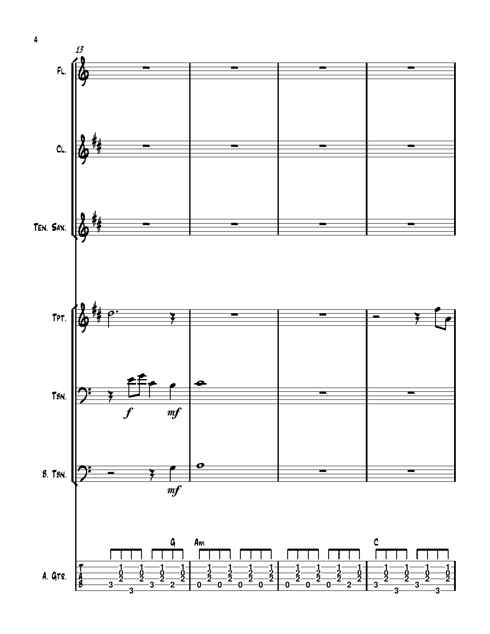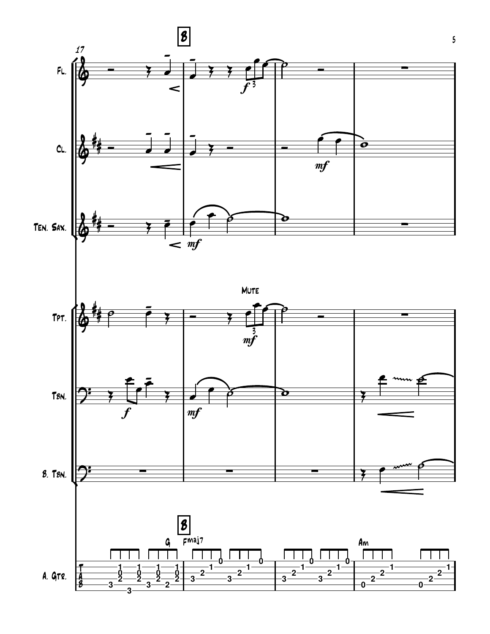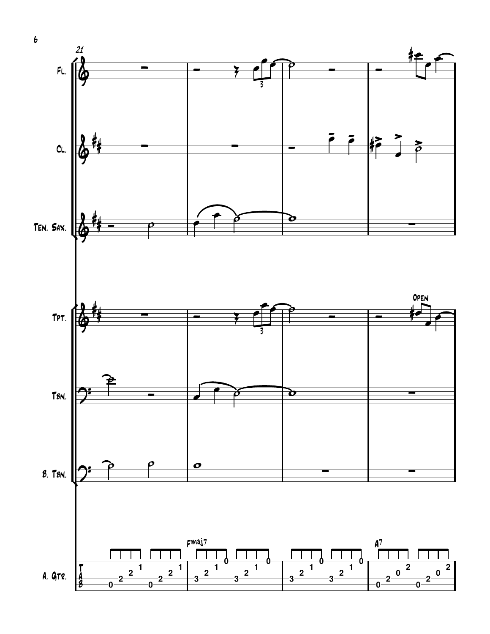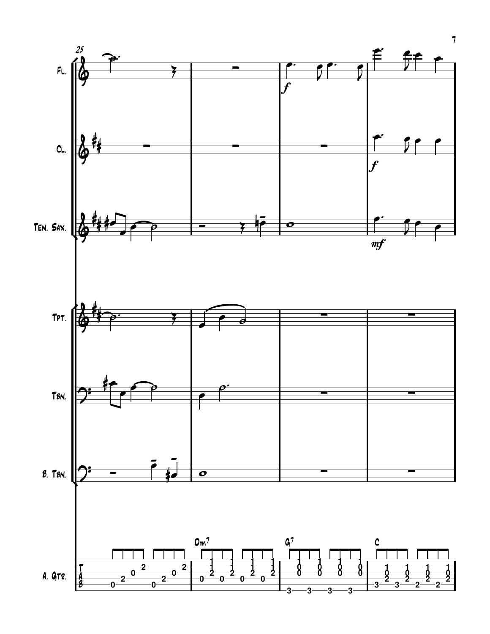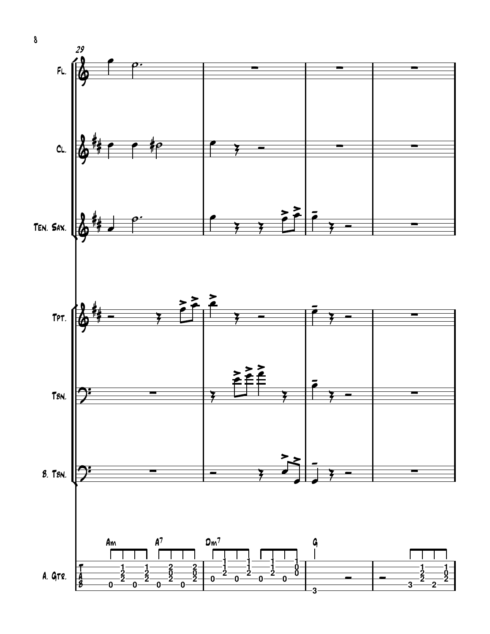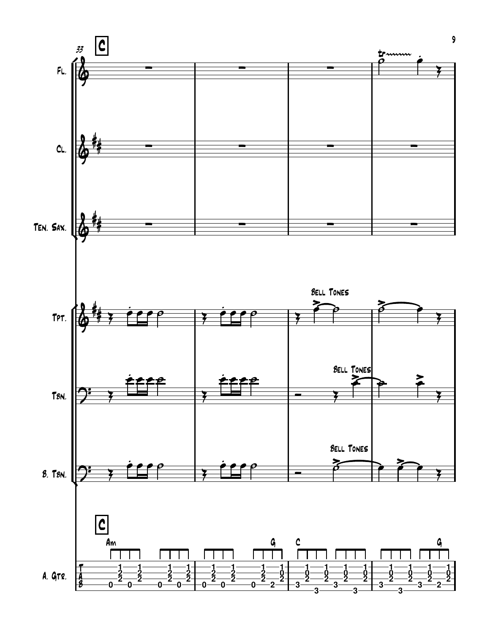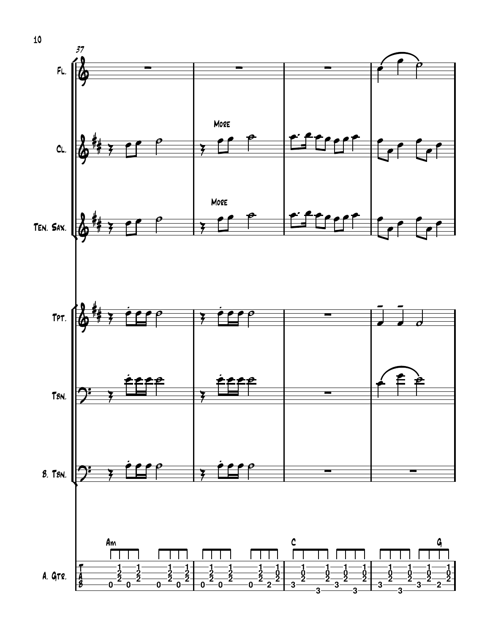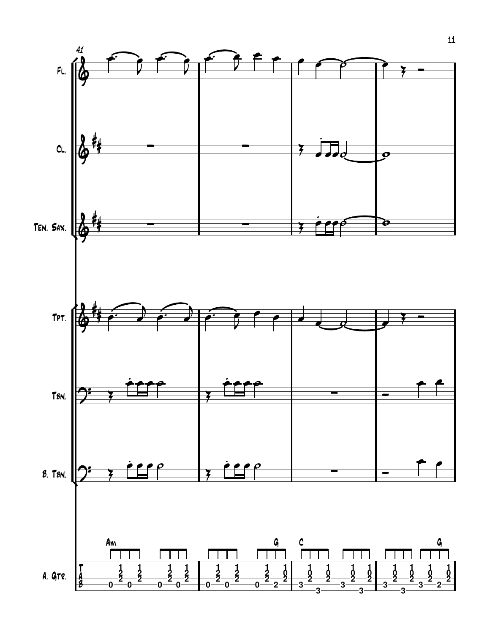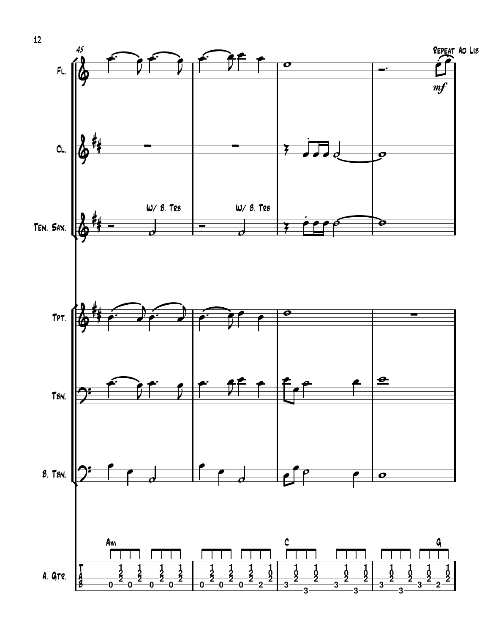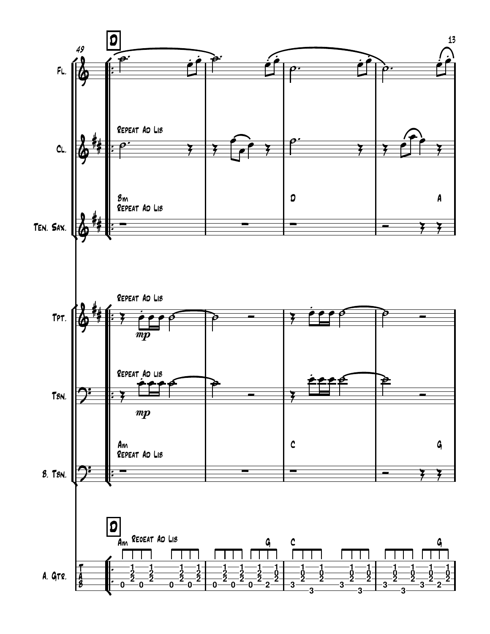